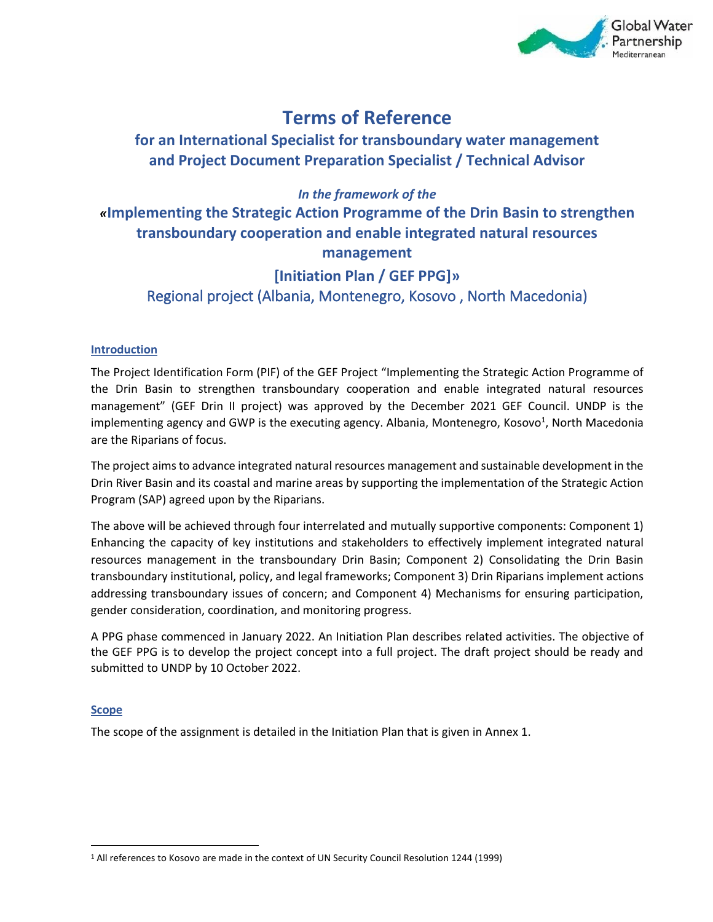

# **Terms of Reference**

## **for an International Specialist for transboundary water management and Project Document Preparation Specialist / Technical Advisor**

*In the framework of the* 

*«***Implementing the Strategic Action Programme of the Drin Basin to strengthen transboundary cooperation and enable integrated natural resources management**

## **[Initiation Plan / GEF PPG]»** Regional project (Albania, Montenegro, Kosovo , North Macedonia)

## **Introduction**

The Project Identification Form (PIF) of the GEF Project "Implementing the Strategic Action Programme of the Drin Basin to strengthen transboundary cooperation and enable integrated natural resources management" (GEF Drin II project) was approved by the December 2021 GEF Council. UNDP is the implementing agency and GWP is the executing agency. Albania, Montenegro, Kosovo<sup>1</sup>, North Macedonia are the Riparians of focus.

The project aims to advance integrated natural resources management and sustainable development in the Drin River Basin and its coastal and marine areas by supporting the implementation of the Strategic Action Program (SAP) agreed upon by the Riparians.

The above will be achieved through four interrelated and mutually supportive components: Component 1) Enhancing the capacity of key institutions and stakeholders to effectively implement integrated natural resources management in the transboundary Drin Basin; Component 2) Consolidating the Drin Basin transboundary institutional, policy, and legal frameworks; Component 3) Drin Riparians implement actions addressing transboundary issues of concern; and Component 4) Mechanisms for ensuring participation, gender consideration, coordination, and monitoring progress.

A PPG phase commenced in January 2022. An Initiation Plan describes related activities. The objective of the GEF PPG is to develop the project concept into a full project. The draft project should be ready and submitted to UNDP by 10 October 2022.

## **Scope**

The scope of the assignment is detailed in the Initiation Plan that is given in Annex 1.

<sup>1</sup> All references to Kosovo are made in the context of UN Security Council Resolution 1244 (1999)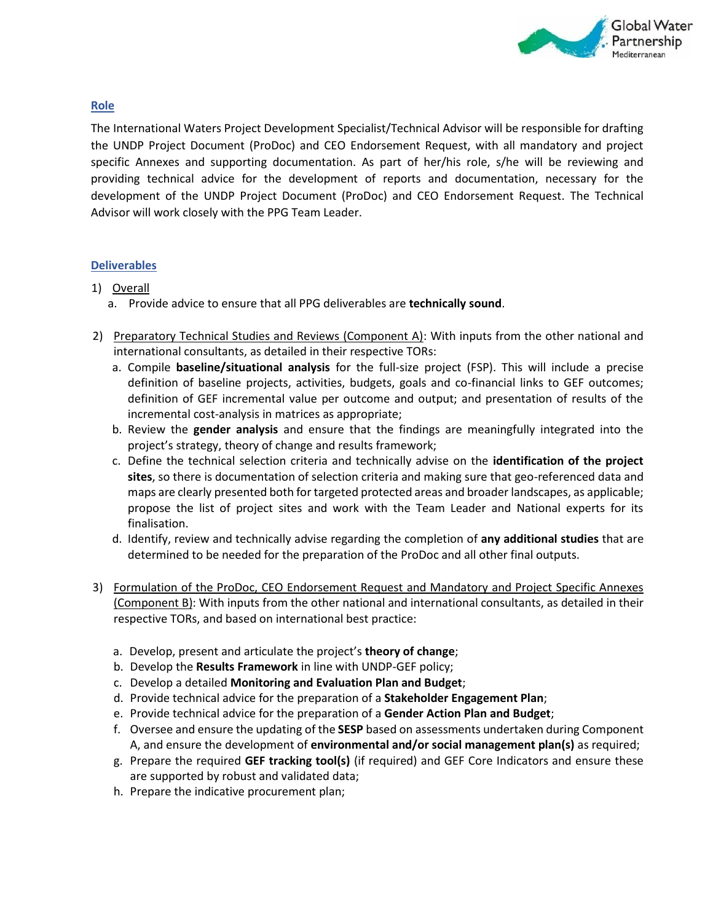

## **Role**

The International Waters Project Development Specialist/Technical Advisor will be responsible for drafting the UNDP Project Document (ProDoc) and CEO Endorsement Request, with all mandatory and project specific Annexes and supporting documentation. As part of her/his role, s/he will be reviewing and providing technical advice for the development of reports and documentation, necessary for the development of the UNDP Project Document (ProDoc) and CEO Endorsement Request. The Technical Advisor will work closely with the PPG Team Leader.

## **Deliverables**

## 1) Overall

- a. Provide advice to ensure that all PPG deliverables are **technically sound**.
- 2) Preparatory Technical Studies and Reviews (Component A): With inputs from the other national and international consultants, as detailed in their respective TORs:
	- a. Compile **baseline/situational analysis** for the full-size project (FSP). This will include a precise definition of baseline projects, activities, budgets, goals and co-financial links to GEF outcomes; definition of GEF incremental value per outcome and output; and presentation of results of the incremental cost-analysis in matrices as appropriate;
	- b. Review the **gender analysis** and ensure that the findings are meaningfully integrated into the project's strategy, theory of change and results framework;
	- c. Define the technical selection criteria and technically advise on the **identification of the project sites**, so there is documentation of selection criteria and making sure that geo-referenced data and maps are clearly presented both for targeted protected areas and broader landscapes, as applicable; propose the list of project sites and work with the Team Leader and National experts for its finalisation.
	- d. Identify, review and technically advise regarding the completion of **any additional studies** that are determined to be needed for the preparation of the ProDoc and all other final outputs.
- 3) Formulation of the ProDoc, CEO Endorsement Request and Mandatory and Project Specific Annexes (Component B): With inputs from the other national and international consultants, as detailed in their respective TORs, and based on international best practice:
	- a. Develop, present and articulate the project's **theory of change**;
	- b. Develop the **Results Framework** in line with UNDP-GEF policy;
	- c. Develop a detailed **Monitoring and Evaluation Plan and Budget**;
	- d. Provide technical advice for the preparation of a **Stakeholder Engagement Plan**;
	- e. Provide technical advice for the preparation of a **Gender Action Plan and Budget**;
	- f. Oversee and ensure the updating of the **SESP** based on assessments undertaken during Component A, and ensure the development of **environmental and/or social management plan(s)** as required;
	- g. Prepare the required **GEF tracking tool(s)** (if required) and GEF Core Indicators and ensure these are supported by robust and validated data;
	- h. Prepare the indicative procurement plan;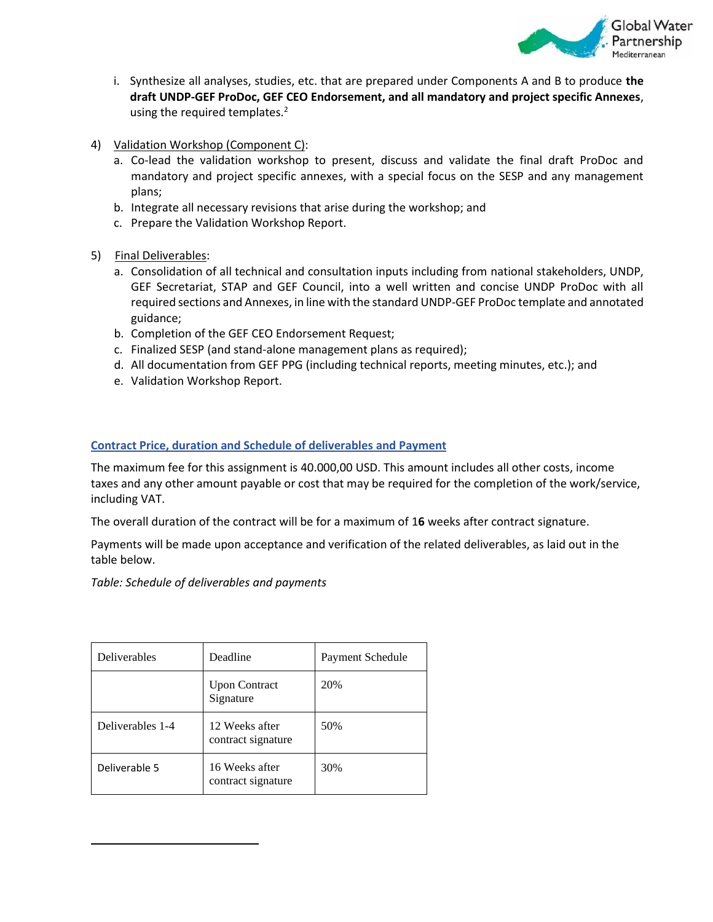

- i. Synthesize all analyses, studies, etc. that are prepared under Components A and B to produce **the draft UNDP-GEF ProDoc, GEF CEO Endorsement, and all mandatory and project specific Annexes**, using the required templates.<sup>2</sup>
- 4) Validation Workshop (Component C):
	- a. Co-lead the validation workshop to present, discuss and validate the final draft ProDoc and mandatory and project specific annexes, with a special focus on the SESP and any management plans;
	- b. Integrate all necessary revisions that arise during the workshop; and
	- c. Prepare the Validation Workshop Report.
- 5) Final Deliverables:
	- a. Consolidation of all technical and consultation inputs including from national stakeholders, UNDP, GEF Secretariat, STAP and GEF Council, into a well written and concise UNDP ProDoc with all required sections and Annexes, in line with the standard UNDP-GEF ProDoc template and annotated guidance;
	- b. Completion of the GEF CEO Endorsement Request;
	- c. Finalized SESP (and stand-alone management plans as required);
	- d. All documentation from GEF PPG (including technical reports, meeting minutes, etc.); and
	- e. Validation Workshop Report.

### **Contract Price, duration and Schedule of deliverables and Payment**

The maximum fee for this assignment is 40.000,00 USD. This amount includes all other costs, income taxes and any other amount payable or cost that may be required for the completion of the work/service, including VAT.

The overall duration of the contract will be for a maximum of 1**6** weeks after contract signature.

Payments will be made upon acceptance and verification of the related deliverables, as laid out in the table below.

*Table: Schedule of deliverables and payments*

| Deliverables     | Deadline                             | Payment Schedule |
|------------------|--------------------------------------|------------------|
|                  | <b>Upon Contract</b><br>Signature    | 20%              |
| Deliverables 1-4 | 12 Weeks after<br>contract signature | 50%              |
| Deliverable 5    | 16 Weeks after<br>contract signature | 30%              |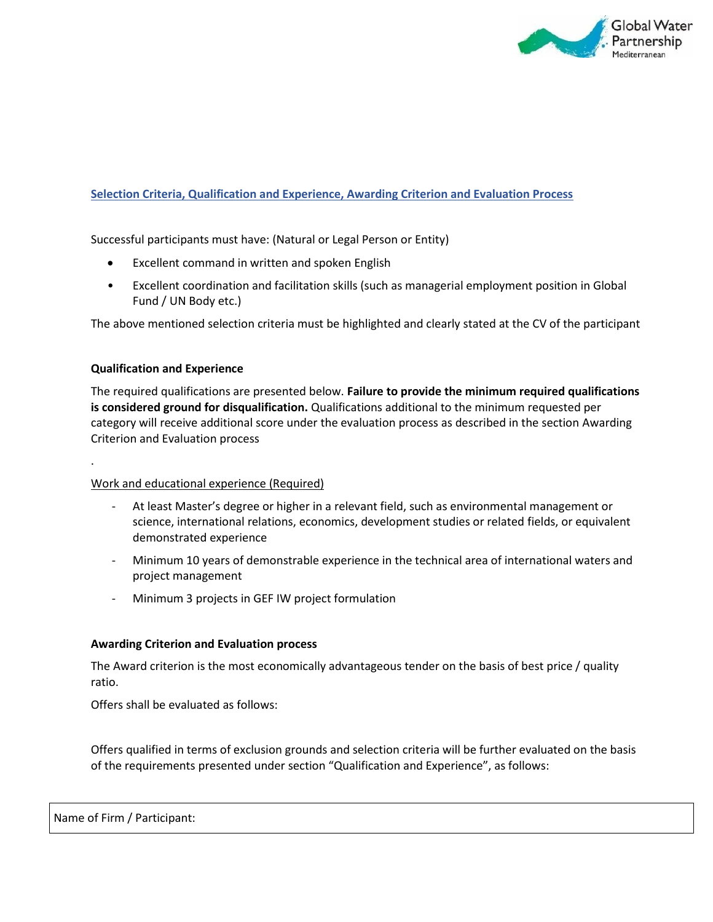

### **Selection Criteria, Qualification and Experience, Awarding Criterion and Evaluation Process**

Successful participants must have: (Natural or Legal Person or Entity)

- Excellent command in written and spoken English
- Excellent coordination and facilitation skills (such as managerial employment position in Global Fund / UN Body etc.)

The above mentioned selection criteria must be highlighted and clearly stated at the CV of the participant

#### **Qualification and Experience**

.

The required qualifications are presented below. **Failure to provide the minimum required qualifications is considered ground for disqualification.** Qualifications additional to the minimum requested per category will receive additional score under the evaluation process as described in the section Awarding Criterion and Evaluation process

#### Work and educational experience (Required)

- At least Master's degree or higher in a relevant field, such as environmental management or science, international relations, economics, development studies or related fields, or equivalent demonstrated experience
- Minimum 10 years of demonstrable experience in the technical area of international waters and project management
- Minimum 3 projects in GEF IW project formulation

#### **Awarding Criterion and Evaluation process**

The Award criterion is the most economically advantageous tender on the basis of best price / quality ratio.

Offers shall be evaluated as follows:

Offers qualified in terms of exclusion grounds and selection criteria will be further evaluated on the basis of the requirements presented under section "Qualification and Experience", as follows: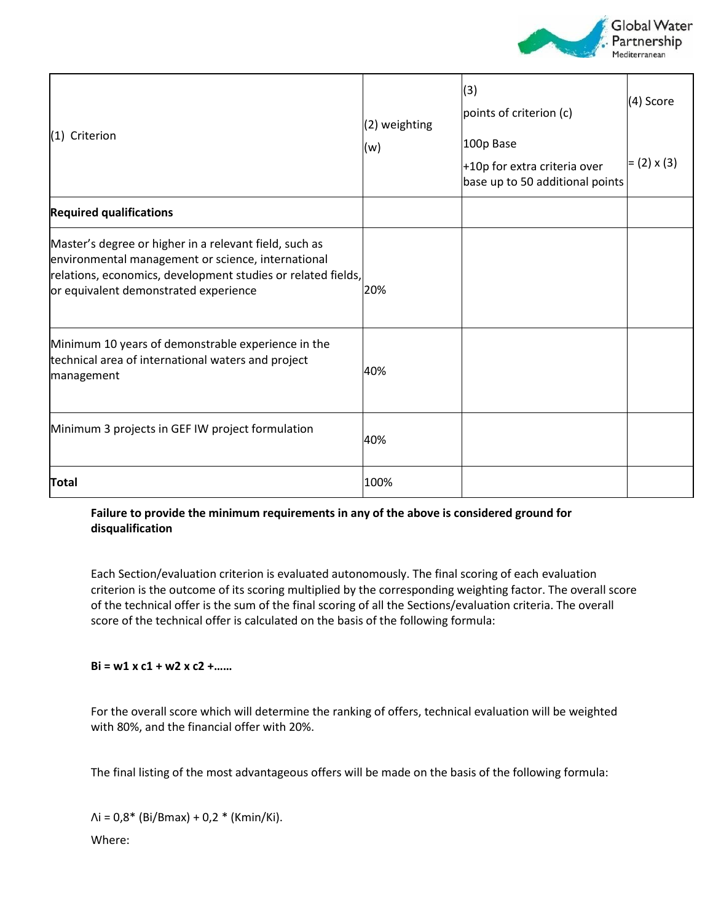

| (1) Criterion                                                                                                                                                                                                         | (2) weighting<br>(w) | (3)<br>points of criterion (c)<br>100p Base<br>+10p for extra criteria over<br>base up to 50 additional points | (4) Score<br>$= (2) \times (3)$ |
|-----------------------------------------------------------------------------------------------------------------------------------------------------------------------------------------------------------------------|----------------------|----------------------------------------------------------------------------------------------------------------|---------------------------------|
| <b>Required qualifications</b>                                                                                                                                                                                        |                      |                                                                                                                |                                 |
| Master's degree or higher in a relevant field, such as<br>environmental management or science, international<br>relations, economics, development studies or related fields,<br>or equivalent demonstrated experience | 20%                  |                                                                                                                |                                 |
| Minimum 10 years of demonstrable experience in the<br>technical area of international waters and project<br>management                                                                                                | 40%                  |                                                                                                                |                                 |
| Minimum 3 projects in GEF IW project formulation                                                                                                                                                                      | 40%                  |                                                                                                                |                                 |
| <b>Total</b>                                                                                                                                                                                                          | 100%                 |                                                                                                                |                                 |

## **Failure to provide the minimum requirements in any of the above is considered ground for disqualification**

Each Section/evaluation criterion is evaluated autonomously. The final scoring of each evaluation criterion is the outcome of its scoring multiplied by the corresponding weighting factor. The overall score of the technical offer is the sum of the final scoring of all the Sections/evaluation criteria. The overall score of the technical offer is calculated on the basis of the following formula:

## **Bi = w1 x c1 + w2 x c2 +……**

For the overall score which will determine the ranking of offers, technical evaluation will be weighted with 80%, and the financial offer with 20%.

The final listing of the most advantageous offers will be made on the basis of the following formula:

 $\Lambda$ i = 0,8\* (Bi/Bmax) + 0,2 \* (Kmin/Ki). Where: